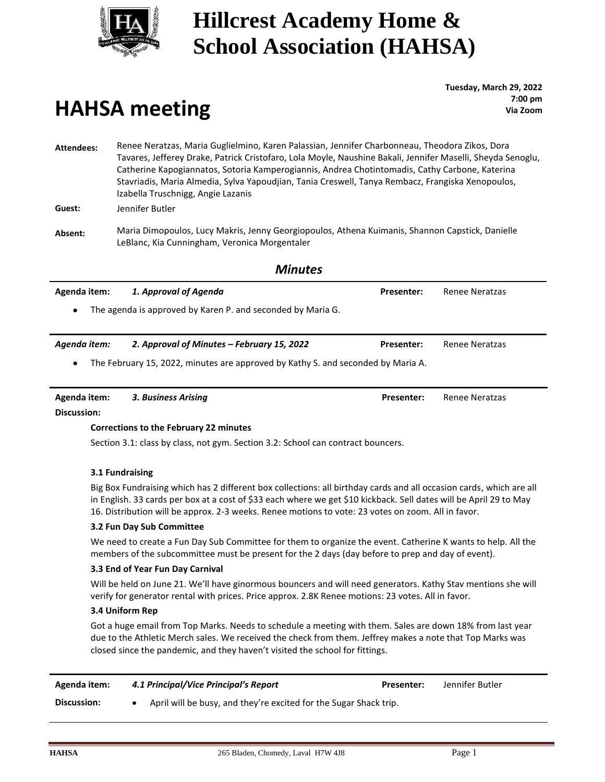

### **Hillcrest Academy Home & School Association (HAHSA)**

# **HAHSA meeting**

**Tuesday, March 29, 2022 : 7:00 pm Via Zoom**

- **Attendees:** Renee Neratzas, Maria Guglielmino, Karen Palassian, Jennifer Charbonneau, Theodora Zikos, Dora Tavares, Jefferey Drake, Patrick Cristofaro, Lola Moyle, Naushine Bakali, Jennifer Maselli, Sheyda Senoglu, Catherine Kapogiannatos, Sotoria Kamperogiannis, Andrea Chotintomadis, Cathy Carbone, Katerina Stavriadis, Maria Almedia, Sylva Yapoudjian, Tania Creswell, Tanya Rembacz, Frangiska Xenopoulos, Izabella Truschnigg, Angie Lazanis **Guest:** Jennifer Butler
- **Absent:** Maria Dimopoulos, Lucy Makris, Jenny Georgiopoulos, Athena Kuimanis, Shannon Capstick, Danielle LeBlanc, Kia Cunningham, Veronica Morgentaler

| <b>Minutes</b>                                                                                |                                            |                   |                |  |  |  |
|-----------------------------------------------------------------------------------------------|--------------------------------------------|-------------------|----------------|--|--|--|
| Agenda item:                                                                                  | 1. Approval of Agenda                      | <b>Presenter:</b> | Renee Neratzas |  |  |  |
| The agenda is approved by Karen P. and seconded by Maria G.<br>$\bullet$                      |                                            |                   |                |  |  |  |
| Agenda item:                                                                                  | 2. Approval of Minutes – February 15, 2022 | <b>Presenter:</b> | Renee Neratzas |  |  |  |
| The February 15, 2022, minutes are approved by Kathy S. and seconded by Maria A.<br>$\bullet$ |                                            |                   |                |  |  |  |
| Agenda item:<br>Discussion:                                                                   | 3. Business Arising                        | <b>Presenter:</b> | Renee Neratzas |  |  |  |

#### **Corrections to the February 22 minutes**

Section 3.1: class by class, not gym. Section 3.2: School can contract bouncers.

#### **3.1 Fundraising**

Big Box Fundraising which has 2 different box collections: all birthday cards and all occasion cards, which are all in English. 33 cards per box at a cost of \$33 each where we get \$10 kickback. Sell dates will be April 29 to May 16. Distribution will be approx. 2-3 weeks. Renee motions to vote: 23 votes on zoom. All in favor.

#### **3.2 Fun Day Sub Committee**

We need to create a Fun Day Sub Committee for them to organize the event. Catherine K wants to help. All the members of the subcommittee must be present for the 2 days (day before to prep and day of event).

#### **3.3 End of Year Fun Day Carnival**

Will be held on June 21. We'll have ginormous bouncers and will need generators. Kathy Stav mentions she will verify for generator rental with prices. Price approx. 2.8K Renee motions: 23 votes. All in favor.

#### **3.4 Uniform Rep**

Got a huge email from Top Marks. Needs to schedule a meeting with them. Sales are down 18% from last year due to the Athletic Merch sales. We received the check from them. Jeffrey makes a note that Top Marks was closed since the pandemic, and they haven't visited the school for fittings.

| Agenda item: | 4.1 Principal/Vice Principal's Report                             | <b>Presenter:</b> | Jennifer Butler |
|--------------|-------------------------------------------------------------------|-------------------|-----------------|
| Discussion:  | April will be busy, and they're excited for the Sugar Shack trip. |                   |                 |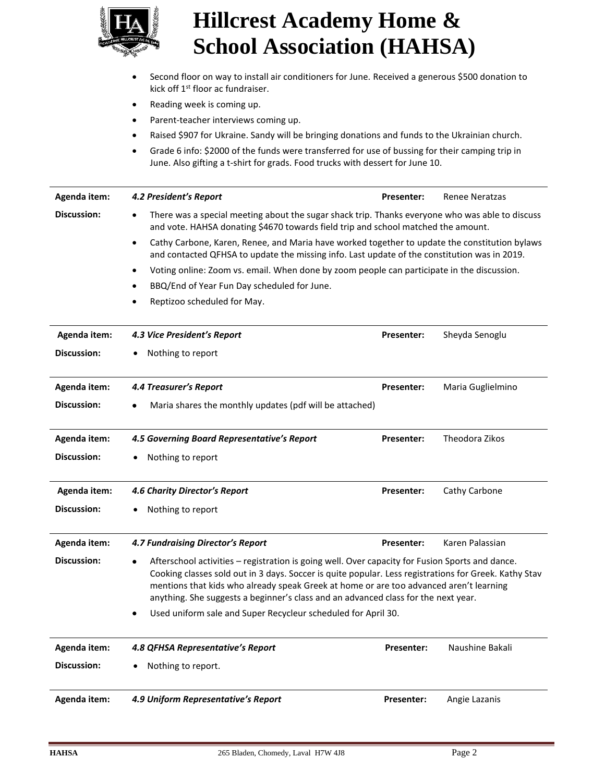

# **Hillcrest Academy Home & School Association (HAHSA)**

- • Second floor on way to install air conditioners for June. Received a generous \$500 donation to kick off 1st floor ac fundraiser.
- Reading week is coming up.
- Parent-teacher interviews coming up.
- Raised \$907 for Ukraine. Sandy will be bringing donations and funds to the Ukrainian church.
- Grade 6 info: \$2000 of the funds were transferred for use of bussing for their camping trip in June. Also gifting a t-shirt for grads. Food trucks with dessert for June 10.

| Agenda item:       | 4.2 President's Report                                                                                                                                                                                                                                                                                                                                                                                | Presenter:        | <b>Renee Neratzas</b> |  |  |
|--------------------|-------------------------------------------------------------------------------------------------------------------------------------------------------------------------------------------------------------------------------------------------------------------------------------------------------------------------------------------------------------------------------------------------------|-------------------|-----------------------|--|--|
| <b>Discussion:</b> | There was a special meeting about the sugar shack trip. Thanks everyone who was able to discuss<br>$\bullet$<br>and vote. HAHSA donating \$4670 towards field trip and school matched the amount.                                                                                                                                                                                                     |                   |                       |  |  |
|                    | Cathy Carbone, Karen, Renee, and Maria have worked together to update the constitution bylaws<br>$\bullet$<br>and contacted QFHSA to update the missing info. Last update of the constitution was in 2019.                                                                                                                                                                                            |                   |                       |  |  |
|                    | Voting online: Zoom vs. email. When done by zoom people can participate in the discussion.                                                                                                                                                                                                                                                                                                            |                   |                       |  |  |
|                    | BBQ/End of Year Fun Day scheduled for June.<br>$\bullet$                                                                                                                                                                                                                                                                                                                                              |                   |                       |  |  |
|                    | Reptizoo scheduled for May.                                                                                                                                                                                                                                                                                                                                                                           |                   |                       |  |  |
| Agenda item:       | 4.3 Vice President's Report                                                                                                                                                                                                                                                                                                                                                                           | Presenter:        | Sheyda Senoglu        |  |  |
| <b>Discussion:</b> | Nothing to report                                                                                                                                                                                                                                                                                                                                                                                     |                   |                       |  |  |
| Agenda item:       | <b>4.4 Treasurer's Report</b>                                                                                                                                                                                                                                                                                                                                                                         | <b>Presenter:</b> | Maria Guglielmino     |  |  |
| <b>Discussion:</b> | Maria shares the monthly updates (pdf will be attached)<br>٠                                                                                                                                                                                                                                                                                                                                          |                   |                       |  |  |
| Agenda item:       | 4.5 Governing Board Representative's Report                                                                                                                                                                                                                                                                                                                                                           | <b>Presenter:</b> | Theodora Zikos        |  |  |
| <b>Discussion:</b> | Nothing to report                                                                                                                                                                                                                                                                                                                                                                                     |                   |                       |  |  |
| Agenda item:       | 4.6 Charity Director's Report                                                                                                                                                                                                                                                                                                                                                                         | Presenter:        | Cathy Carbone         |  |  |
| <b>Discussion:</b> | Nothing to report                                                                                                                                                                                                                                                                                                                                                                                     |                   |                       |  |  |
| Agenda item:       | 4.7 Fundraising Director's Report                                                                                                                                                                                                                                                                                                                                                                     | Presenter:        | Karen Palassian       |  |  |
| <b>Discussion:</b> | Afterschool activities - registration is going well. Over capacity for Fusion Sports and dance.<br>$\bullet$<br>Cooking classes sold out in 3 days. Soccer is quite popular. Less registrations for Greek. Kathy Stav<br>mentions that kids who already speak Greek at home or are too advanced aren't learning<br>anything. She suggests a beginner's class and an advanced class for the next year. |                   |                       |  |  |
|                    | Used uniform sale and Super Recycleur scheduled for April 30.                                                                                                                                                                                                                                                                                                                                         |                   |                       |  |  |
| Agenda item:       | 4.8 QFHSA Representative's Report                                                                                                                                                                                                                                                                                                                                                                     | <b>Presenter:</b> | Naushine Bakali       |  |  |
| <b>Discussion:</b> | Nothing to report.                                                                                                                                                                                                                                                                                                                                                                                    |                   |                       |  |  |
| Agenda item:       | 4.9 Uniform Representative's Report                                                                                                                                                                                                                                                                                                                                                                   | Presenter:        | Angie Lazanis         |  |  |